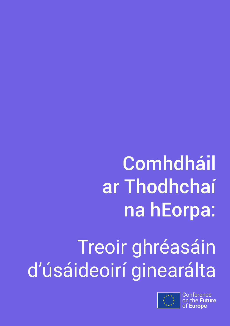## **Comhdháil** ar Thodhchaí na hEorpa:

# Treoir ghréasáin d'úsáideoirí ginearálta



**Conference** uture of **Europe**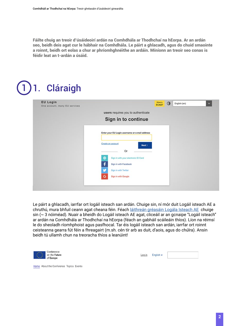Fáilte chuig an treoir d'úsáideoirí ardán na Comhdhála ar Thodhchaí na hEorpa. Ar an ardán seo, beidh deis agat cur le hábhair na Comhdhála. Le páirt a ghlacadh, agus do chuid smaointe a roinnt, beidh ort eolas a chur ar phríomhghnéithe an ardáin. Míníonn an treoir seo conas is féidir leat an t-ardán a úsáid.

#### 1**Cláraigh EU Login** Where is<br>ECAS?  $\circ$ English (en) One account, many EU services users requires you to authenticate Sign in to continue Enter your EU Login username or e-mail address Create an account Next > Or Sign in with your electronic ID Card  $\oplus$ Sign in with Facebook Sion in with Twitter Sign in with Google

Le páirt a ghlacadh, iarrfar ort logáil isteach san ardán. Chuige sin, ní mór duit Logáil isteach AE a chruthú, mura bhfuil ceann agat cheana féin. Féach [láithreán gréasáin Logála Isteach AE](https://webgate.ec.europa.eu/cas) chuige sin (~ 3 nóiméad). Nuair a bheidh do Logáil isteach AE agat, cliceáil ar an gcnaipe "Logáil isteach" ar ardán na Comhdhála ar Thodhchaí na hEorpa (féach an gabháil scáileáin thíos). Líon na réimsí le do sheoladh ríomhphoist agus pasfhocal. Tar éis logáil isteach san ardán, iarrfar ort roinnt ceisteanna gearra fút féin a fhreagairt (m.sh. cén tír arb as duit, d'aois, agus do chúlra). Ansin beidh tú ullamh chun na treoracha thíos a leanúint!

| Conference    |
|---------------|
|               |
| on the Future |
| of Europe     |

Home About the Conference Topics Events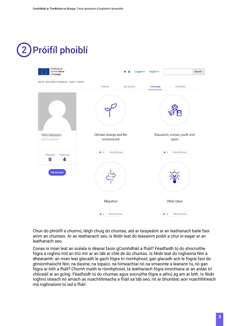### Próifíl phoiblí 2



Chun do phróifíl a chumrú, téigh chuig do chuntas, atá ar taispeáint ar an leathanach baile faoi ainm an chuntais. Ar an leathanach seo, is féidir leat do leasainm poiblí a chur in eagar ar an leathanach seo.

Conas is mian leat an scéala is déanaí faoin gComhdháil a fháil? Féadfaidh tú do shocruithe fógra a roghnú tríd an tríú mír ar an táb ar chlé de do chuntas. Is féidir leat do roghanna féin a dhéanamh: an mian leat glacadh le gach fógra trí ríomhphost, gan glacadh ach le fógraí faoi do ghníomhaíocht féin, na daoine, na topaicí, na himeachtaí nó na smaointe a leanann tú, nó gan fógra ar bith a fháil? Chomh maith le ríomhphoist, tá leathanach fógra inrochtana ar an ardán trí chliceáil ar an gclog. Féadfaidh tú do chuntas agus socruithe fógra a athrú ag am ar bith. Is féidir roghnú isteach nó amach as nuachtlitreacha a fháil sa táb seo, nó ar bhuntásc aon nuachtlitreach má roghnaíonn tú iad a fháil.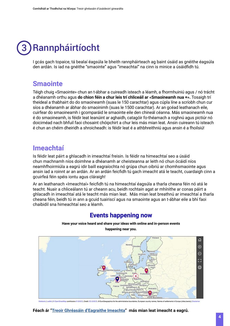#### Rannpháirtíocht 3

I gcás gach topaice, tá bealaí éagsúla le bheith rannpháirteach ag baint úsáid as gnéithe éagsúla den ardán. Is iad na gnéithe "smaointe" agus "imeachtaí" na cinn is minice a úsáidfidh tú.

### **Smaointe**

Téigh chuig «Smaointe» chun an t-ábhar a cuireadh isteach a léamh, a fhormhuiniú agus / nó trácht a dhéanamh orthu agus **do chion féin a chur leis trí chliceáil ar «Smaoineamh nua +».** Tosaigh trí theideal a thabhairt do do smaoineamh (suas le 150 carachtar) agus cúpla líne a scríobh chun cur síos a dhéanamh ar ábhar do smaoinimh (suas le 1500 carachtar). Ar an gcéad leathanach eile, cuirfear do smaoineamh i gcomparáid le smaointe eile den chineál céanna. Más smaoineamh nua é do smaoineamh, is féidir leat leanúint ar aghaidh, catagóir fo-théamach a roghnú agus pictiúr nó doiciméad nach bhfuil faoi chosaint chóipchirt a chur leis más mian leat. Ansin cuireann tú isteach é chun an chéim dheiridh a shroicheadh: is féidir leat é a athbhreithniú agus ansin é a fhoilsiú!

### **Imeachtaí**

Is féidir leat páirt a ghlacadh in imeachtaí freisin. Is féidir na himeachtaí seo a úsáid chun machnamh níos doimhne a dhéanamh ar cheisteanna ar leith nó chun ócáidí níos neamhfhoirmiúla a eagrú idir baill eagraíochta nó grúpa chun oibriú ar chomhsmaointe agus ansin iad a roinnt ar an ardán. Ar an ardán feicfidh tú gach imeacht atá le teacht, cuardaigh cinn a gcuirfeá féin spéis iontu agus cláraigh!

Ar an leathanach «Imeachtaí» feicfidh tú na himeachtaí éagsúla a tharla cheana féin nó atá le teacht. Nuair a chliceálann tú ar cheann acu, beidh rochtain agat ar mhínithe ar conas páirt a ghlacadh in imeachtaí atá le teacht más mian leat. Más mian leat breathnú ar imeachtaí a tharla cheana féin, beidh tú in ann a gcuid tuairiscí agus na smaointe agus an t-ábhar eile a bhí faoi chaibidil sna himeachtaí seo a léamh.

#### **Events happening now**





contributors © GISCO, Credit: EC-GISCO, © EuroGeograp ns) | Disclaimer

#### **Féach ár "[Treoir Ghréasáin d'Eagraithe Imeachta"](https://futureu.europa.eu/pages/event-organisers) más mian leat imeacht a eagrú.**